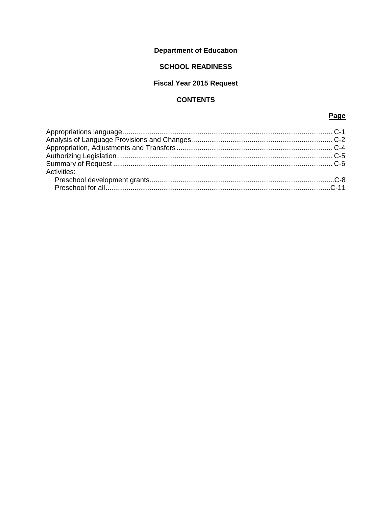# **Department of Education**

# **SCHOOL READINESS**

# **Fiscal Year 2015 Request**

# **CONTENTS**

## Page

| Activities: |  |
|-------------|--|
|             |  |
|             |  |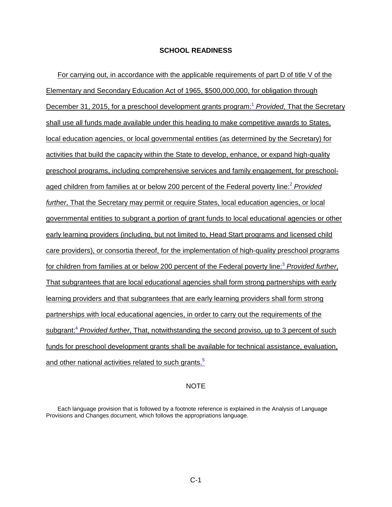<span id="page-1-0"></span>For carrying out, in accordance with the applicable requirements of part D of title V of the Elementary and Secondary Education Act of 1965, \$500,000,000, for obligation through December 31, 2015, for a preschool development grants program: [1](#page-2-1) *Provided*, That the Secretary shall use all funds made available under this heading to make competitive awards to States, local education agencies, or local governmental entities (as determined by the Secretary) for activities that build the capacity within the State to develop, enhance, or expand high-quality preschool programs, including comprehensive services and family engagement, for preschoolaged children from families at or below 200 percent of the Federal poverty line[:](#page-2-2) <sup>2</sup> *Provided further*, That the Secretary may permit or require States, local education agencies, or local governmental entities to subgrant a portion of grant funds to local educational agencies or other early learning providers (including, but not limited to, Head Start programs and licensed child care providers), or consortia thereof, for the implementation of high-quality preschool programs for children from families at or below 200 percent of the Federal poverty line: [3](#page-2-3) *Provided further*, That subgrantees that are local educational agencies shall form strong partnerships with early learning providers and that subgrantees that are early learning providers shall form strong partnerships with local educational agencies, in order to carry out the requirements of the subgrant[:](#page-2-4) <sup>4</sup> *Provided further*, That, notwithstanding the second proviso, up to 3 percent of such funds for preschool development grants shall be available for technical assistance, evaluation, and other national activities related to such grants.<sup>[5](#page-3-0)</sup>

#### **NOTE**

Each language provision that is followed by a footnote reference is explained in the Analysis of Language Provisions and Changes document, which follows the appropriations language.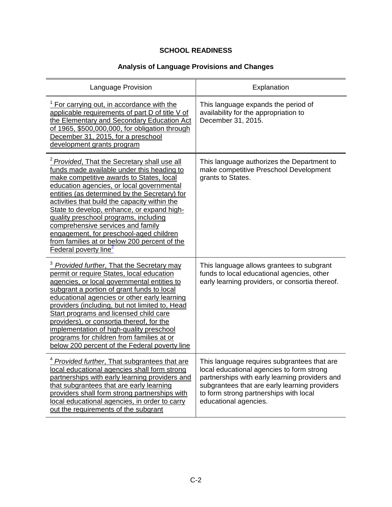# **Analysis of Language Provisions and Changes**

<span id="page-2-4"></span><span id="page-2-3"></span><span id="page-2-2"></span><span id="page-2-1"></span><span id="page-2-0"></span>

| Language Provision                                                                                                                                                                                                                                                                                                                                                                                                                                                                                                                                                  | Explanation                                                                                                                                                                                                                                                    |
|---------------------------------------------------------------------------------------------------------------------------------------------------------------------------------------------------------------------------------------------------------------------------------------------------------------------------------------------------------------------------------------------------------------------------------------------------------------------------------------------------------------------------------------------------------------------|----------------------------------------------------------------------------------------------------------------------------------------------------------------------------------------------------------------------------------------------------------------|
| For carrying out, in accordance with the<br>applicable requirements of part D of title V of<br>the Elementary and Secondary Education Act<br>of 1965, \$500,000,000, for obligation through<br>December 31, 2015, for a preschool<br>development grants program                                                                                                                                                                                                                                                                                                     | This language expands the period of<br>availability for the appropriation to<br>December 31, 2015.                                                                                                                                                             |
| <sup>2</sup> Provided. That the Secretary shall use all<br>funds made available under this heading to<br>make competitive awards to States, local<br>education agencies, or local governmental<br>entities (as determined by the Secretary) for<br>activities that build the capacity within the<br>State to develop, enhance, or expand high-<br>quality preschool programs, including<br>comprehensive services and family<br>engagement, for preschool-aged children<br>from families at or below 200 percent of the<br><b>Federal poverty line</b> <sup>2</sup> | This language authorizes the Department to<br>make competitive Preschool Development<br>grants to States.                                                                                                                                                      |
| <sup>3</sup> Provided further, That the Secretary may<br>permit or require States, local education<br>agencies, or local governmental entities to<br>subgrant a portion of grant funds to local<br>educational agencies or other early learning<br>providers (including, but not limited to, Head<br>Start programs and licensed child care<br>providers), or consortia thereof, for the<br>implementation of high-quality preschool<br>programs for children from families at or<br>below 200 percent of the Federal poverty line                                  | This language allows grantees to subgrant<br>funds to local educational agencies, other<br>early learning providers, or consortia thereof.                                                                                                                     |
| <sup>4</sup> Provided further, That subgrantees that are<br>local educational agencies shall form strong<br>partnerships with early learning providers and<br>that subgrantees that are early learning<br>providers shall form strong partnerships with<br>local educational agencies, in order to carry<br>out the requirements of the subgrant                                                                                                                                                                                                                    | This language requires subgrantees that are<br>local educational agencies to form strong<br>partnerships with early learning providers and<br>subgrantees that are early learning providers<br>to form strong partnerships with local<br>educational agencies. |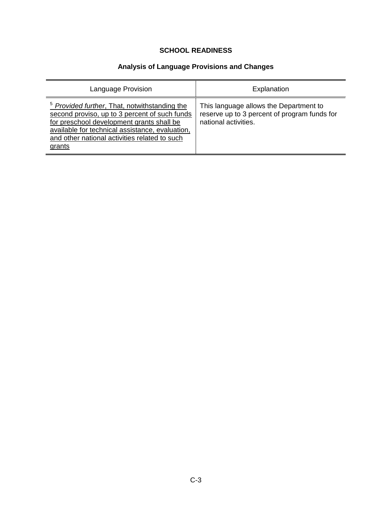# **Analysis of Language Provisions and Changes**

<span id="page-3-0"></span>

| Language Provision                                                                                                                                                                                                                                                   | Explanation                                                                                                    |
|----------------------------------------------------------------------------------------------------------------------------------------------------------------------------------------------------------------------------------------------------------------------|----------------------------------------------------------------------------------------------------------------|
| <sup>5</sup> Provided further, That, notwithstanding the<br>second proviso, up to 3 percent of such funds<br>for preschool development grants shall be<br>available for technical assistance, evaluation,<br>and other national activities related to such<br>grants | This language allows the Department to<br>reserve up to 3 percent of program funds for<br>national activities. |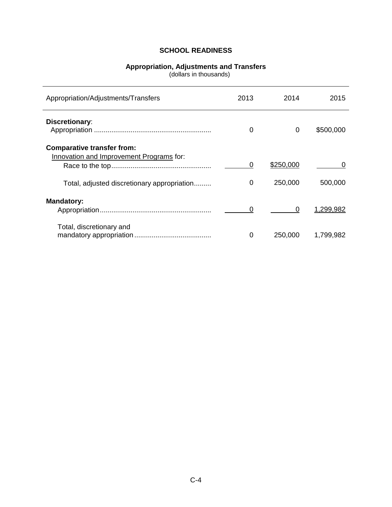## **Appropriation, Adjustments and Transfers**

(dollars in thousands)

<span id="page-4-0"></span>

| Appropriation/Adjustments/Transfers                                           | 2013     | 2014      | 2015      |
|-------------------------------------------------------------------------------|----------|-----------|-----------|
| <b>Discretionary:</b>                                                         | 0        | 0         | \$500,000 |
| <b>Comparative transfer from:</b><br>Innovation and Improvement Programs for: | 0        | \$250,000 | 0         |
| Total, adjusted discretionary appropriation                                   | 0        | 250,000   | 500,000   |
| <b>Mandatory:</b>                                                             |          | 0         | 1,299,982 |
| Total, discretionary and                                                      | $\Omega$ | 250,000   | 1,799,982 |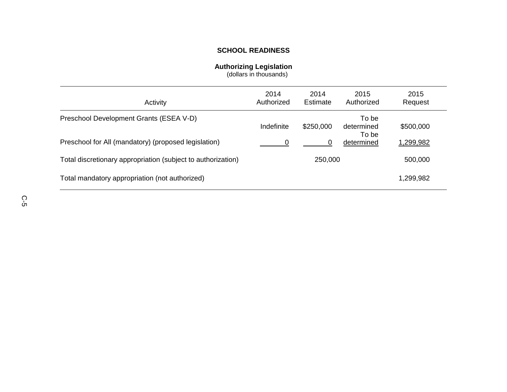#### **Authorizing Legislation**

(dollars in thousands)

<span id="page-5-0"></span>

| Activity                                                     | 2014<br>Authorized | 2014<br>Estimate | 2015<br>Authorized           | 2015<br>Request |
|--------------------------------------------------------------|--------------------|------------------|------------------------------|-----------------|
| Preschool Development Grants (ESEA V-D)                      | Indefinite         | \$250,000        | To be<br>determined<br>To be | \$500,000       |
| Preschool for All (mandatory) (proposed legislation)         |                    | 0                | determined                   | 1,299,982       |
| Total discretionary appropriation (subject to authorization) |                    | 250,000          |                              | 500,000         |
| Total mandatory appropriation (not authorized)               |                    |                  |                              | 1,299,982       |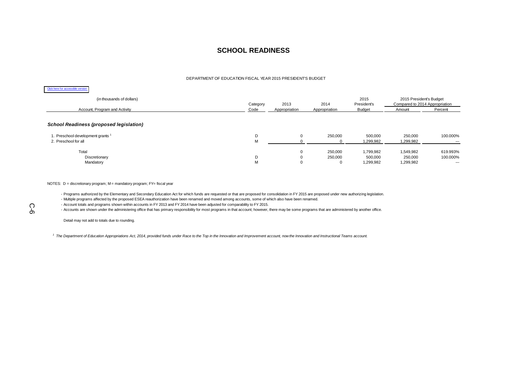#### DEPARTMENT OF EDUCATION FISCAL YEAR 2015 PRESIDENT'S BUDGET

#### Click here for accessible version

| (in thousands of dollars)                      | Category | 2013          | 2014          | 2015<br>President's | 2015 President's Budget<br>Compared to 2014 Appropriation |          |
|------------------------------------------------|----------|---------------|---------------|---------------------|-----------------------------------------------------------|----------|
| Account, Program and Activity                  | Code     | Appropriation | Appropriation | <b>Budget</b>       | Amount                                                    | Percent  |
| <b>School Readiness (proposed legislation)</b> |          |               |               |                     |                                                           |          |
| 1. Preschool development grants <sup>1</sup>   | D        |               | 250,000       | 500,000             | 250,000                                                   | 100.000% |
| 2. Preschool for all                           | M        |               |               | 1,299,982           | 1,299,982                                                 | $- - -$  |
| Total                                          |          | $\Omega$      | 250,000       | 1,799,982           | 1,549,982                                                 | 619.993% |
| Discretionary                                  | D        |               | 250,000       | 500,000             | 250,000                                                   | 100.000% |
| Mandatory                                      | M        |               | 0             | 1,299,982           | 1,299,982                                                 | ---      |

#### <span id="page-6-0"></span>NOTES: D = discretionary program; M = mandatory program; FY= fiscal year

- Programs authorized by the Elementary and Secondary Education Act for which funds are requested or that are proposed for consolidation in FY 2015 are proposed under new authorizing legislation.

- Multiple programs affected by the proposed ESEA reauthorization have been renamed and moved among accounts, some of which also have been renamed.

- Account totals and programs shown within accounts in FY 2013 and FY 2014 have been adjusted for comparability to FY 2015.

- Accounts are shown under the administering office that has primary responsibility for most programs in that account; however, there may be some programs that are administered by another office.

Detail may not add to totals due to rounding.

*<sup>1</sup> The Department of Education Appropriations Act, 2014, provided funds under Race to the Top in the Innovation and Improvement account, now the Innovation and Instructional Teams account.*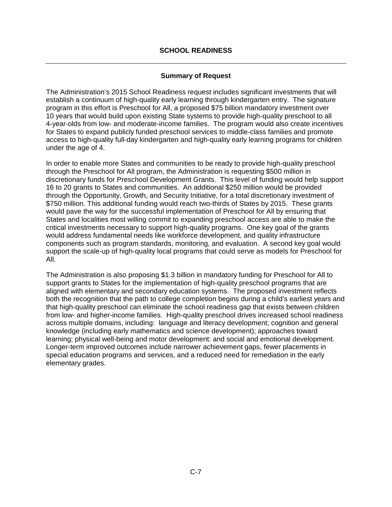## **Summary of Request**

The Administration's 2015 School Readiness request includes significant investments that will establish a continuum of high-quality early learning through kindergarten entry. The signature program in this effort is Preschool for All, a proposed \$75 billion mandatory investment over 10 years that would build upon existing State systems to provide high-quality preschool to all 4-year-olds from low- and moderate-income families. The program would also create incentives for States to expand publicly funded preschool services to middle-class families and promote access to high-quality full-day kindergarten and high-quality early learning programs for children under the age of 4.

In order to enable more States and communities to be ready to provide high-quality preschool through the Preschool for All program, the Administration is requesting \$500 million in discretionary funds for Preschool Development Grants. This level of funding would help support 16 to 20 grants to States and communities. An additional \$250 million would be provided through the Opportunity, Growth, and Security Initiative, for a total discretionary investment of \$750 million. This additional funding would reach two-thirds of States by 2015. These grants would pave the way for the successful implementation of Preschool for All by ensuring that States and localities most willing commit to expanding preschool access are able to make the critical investments necessary to support high-quality programs. One key goal of the grants would address fundamental needs like workforce development, and quality infrastructure components such as program standards, monitoring, and evaluation. A second key goal would support the scale-up of high-quality local programs that could serve as models for Preschool for All.

The Administration is also proposing \$1.3 billion in mandatory funding for Preschool for All to support grants to States for the implementation of high-quality preschool programs that are aligned with elementary and secondary education systems. The proposed investment reflects both the recognition that the path to college completion begins during a child's earliest years and that high-quality preschool can eliminate the school readiness gap that exists between children from low- and higher-income families. High-quality preschool drives increased school readiness across multiple domains, including: language and literacy development; cognition and general knowledge (including early mathematics and science development); approaches toward learning; physical well-being and motor development: and social and emotional development. Longer-term improved outcomes include narrower achievement gaps, fewer placements in special education programs and services, and a reduced need for remediation in the early elementary grades.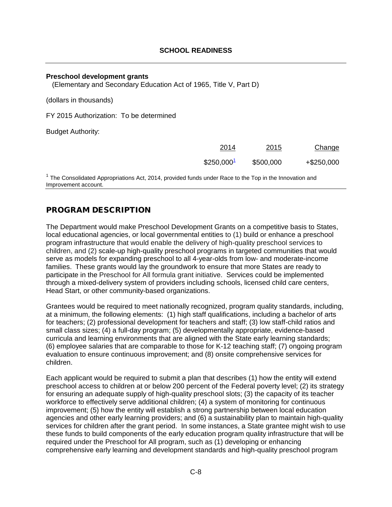#### <span id="page-8-1"></span><span id="page-8-0"></span>**Preschool development grants**

(Elementary and Secondary Education Act of 1965, Title V, Part D)

(dollars in thousands)

FY 2015 Authorization: To be determined

Budget Authority:

| 2014                   | 2015      | Change        |
|------------------------|-----------|---------------|
| \$250,000 <sup>1</sup> | \$500,000 | $+$ \$250,000 |

<span id="page-8-2"></span> $1$  The Consolidated Appropriations Act, 2014, provided funds under Race to the Top in the Innovation and Improvement account.

## PROGRAM DESCRIPTION

The Department would make Preschool Development Grants on a competitive basis to States, local educational agencies, or local governmental entities to (1) build or enhance a preschool program infrastructure that would enable the delivery of high-quality preschool services to children, and (2) scale-up high-quality preschool programs in targeted communities that would serve as models for expanding preschool to all 4-year-olds from low- and moderate-income families. These grants would lay the groundwork to ensure that more States are ready to participate in the Preschool for All formula grant initiative. Services could be implemented through a mixed-delivery system of providers including schools, licensed child care centers, Head Start, or other community-based organizations.

Grantees would be required to meet nationally recognized, program quality standards, including, at a minimum, the following elements: (1) high staff qualifications, including a bachelor of arts for teachers; (2) professional development for teachers and staff; (3) low staff-child ratios and small class sizes; (4) a full-day program; (5) developmentally appropriate, evidence-based curricula and learning environments that are aligned with the State early learning standards; (6) employee salaries that are comparable to those for K-12 teaching staff; (7) ongoing program evaluation to ensure continuous improvement; and (8) onsite comprehensive services for children.

Each applicant would be required to submit a plan that describes (1) how the entity will extend preschool access to children at or below 200 percent of the Federal poverty level; (2) its strategy for ensuring an adequate supply of high-quality preschool slots; (3) the capacity of its teacher workforce to effectively serve additional children; (4) a system of monitoring for continuous improvement; (5) how the entity will establish a strong partnership between local education agencies and other early learning providers; and (6) a sustainability plan to maintain high-quality services for children after the grant period. In some instances, a State grantee might wish to use these funds to build components of the early education program quality infrastructure that will be required under the Preschool for All program, such as (1) developing or enhancing comprehensive early learning and development standards and high-quality preschool program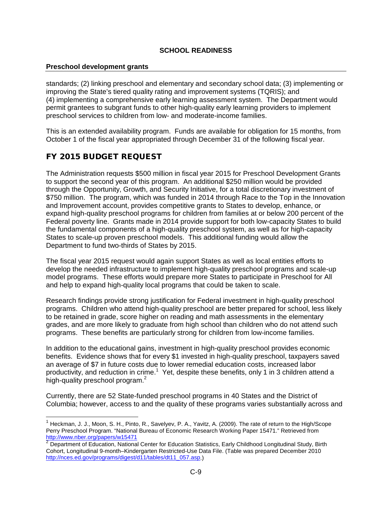### **Preschool development grants**

standards; (2) linking preschool and elementary and secondary school data; (3) implementing or improving the State's tiered quality rating and improvement systems (TQRIS); and (4) implementing a comprehensive early learning assessment system. The Department would permit grantees to subgrant funds to other high-quality early learning providers to implement preschool services to children from low- and moderate-income families.

This is an extended availability program. Funds are available for obligation for 15 months, from October 1 of the fiscal year appropriated through December 31 of the following fiscal year.

# FY 2015 BUDGET REQUEST

The Administration requests \$500 million in fiscal year 2015 for Preschool Development Grants to support the second year of this program. An additional \$250 million would be provided through the Opportunity, Growth, and Security Initiative, for a total discretionary investment of \$750 million. The program, which was funded in 2014 through Race to the Top in the Innovation and Improvement account, provides competitive grants to States to develop, enhance, or expand high-quality preschool programs for children from families at or below 200 percent of the Federal poverty line. Grants made in 2014 provide support for both low-capacity States to build the fundamental components of a high-quality preschool system, as well as for high-capacity States to scale-up proven preschool models. This additional funding would allow the Department to fund two-thirds of States by 2015.

The fiscal year 2015 request would again support States as well as local entities efforts to develop the needed infrastructure to implement high-quality preschool programs and scale-up model programs. These efforts would prepare more States to participate in Preschool for All and help to expand high-quality local programs that could be taken to scale.

Research findings provide strong justification for Federal investment in high-quality preschool programs. Children who attend high-quality preschool are better prepared for school, less likely to be retained in grade, score higher on reading and math assessments in the elementary grades, and are more likely to graduate from high school than children who do not attend such programs. These benefits are particularly strong for children from low-income families.

In addition to the educational gains, investment in high-quality preschool provides economic benefits. Evidence shows that for every \$1 invested in high-quality preschool, taxpayers saved an average of \$7 in future costs due to lower remedial education costs, increased labor productivity, and reduction in crime.<sup>1</sup> Yet, despite these benefits, only 1 in 3 children attend a high-quality preschool program.<sup>2</sup>

Currently, there are 52 State-funded preschool programs in 40 States and the District of Columbia; however, access to and the quality of these programs varies substantially across and

 $1$  Heckman, J. J., Moon, S. H., Pinto, R., Savelyev, P. A., Yavitz, A. (2009). The rate of return to the High/Scope Perry Preschool Program. "National Bureau of Economic Research Working Paper 15471." Retrieved from<br>http://www.nber.org/papers/w15471

Department of Education, National Center for Education Statistics, Early Childhood Longitudinal Study, Birth Cohort, Longitudinal 9-month–Kindergarten Restricted-Use Data File. (Table was prepared December 2010 [http://nces.ed.gov/programs/digest/d11/tables/dt11\\_057.asp.](http://nces.ed.gov/programs/digest/d11/tables/dt11_057.asp))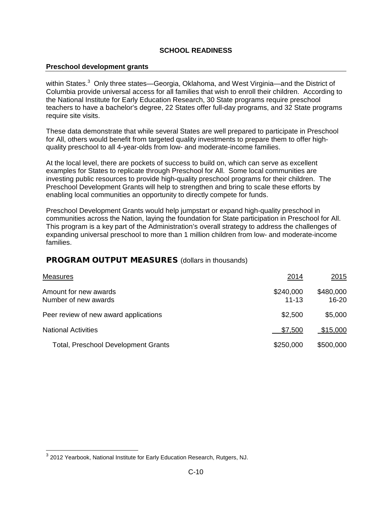#### **Preschool development grants**

within States.<sup>3</sup> Only three states—Georgia, Oklahoma, and West Virginia—and the District of Columbia provide universal access for all families that wish to enroll their children. According to the National Institute for Early Education Research, 30 State programs require preschool teachers to have a bachelor's degree, 22 States offer full-day programs, and 32 State programs require site visits.

These data demonstrate that while several States are well prepared to participate in Preschool for All, others would benefit from targeted quality investments to prepare them to offer highquality preschool to all 4-year-olds from low- and moderate-income families.

At the local level, there are pockets of success to build on, which can serve as excellent examples for States to replicate through Preschool for All. Some local communities are investing public resources to provide high-quality preschool programs for their children. The Preschool Development Grants will help to strengthen and bring to scale these efforts by enabling local communities an opportunity to directly compete for funds.

Preschool Development Grants would help jumpstart or expand high-quality preschool in communities across the Nation, laying the foundation for State participation in Preschool for All. This program is a key part of the Administration's overall strategy to address the challenges of expanding universal preschool to more than 1 million children from low- and moderate-income families.

## PROGRAM OUTPUT MEASURES (dollars in thousands)

| <b>Measures</b>                               | 2014                   | <u>2015</u>            |
|-----------------------------------------------|------------------------|------------------------|
| Amount for new awards<br>Number of new awards | \$240,000<br>$11 - 13$ | \$480,000<br>$16 - 20$ |
| Peer review of new award applications         | \$2,500                | \$5,000                |
| <b>National Activities</b>                    | \$7,500                | \$15,000               |
| <b>Total, Preschool Development Grants</b>    | \$250,000              | \$500,000              |

 <sup>3</sup> <sup>2012</sup> Yearbook, National Institute for Early Education Research, Rutgers, NJ.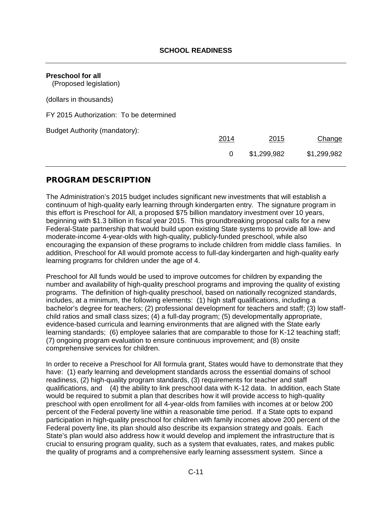<span id="page-11-0"></span>

| <b>Preschool for all</b><br>(Proposed legislation) |      |             |             |
|----------------------------------------------------|------|-------------|-------------|
| (dollars in thousands)                             |      |             |             |
| FY 2015 Authorization: To be determined            |      |             |             |
| Budget Authority (mandatory):                      | 2014 | 2015        | Change      |
|                                                    | 0    | \$1,299,982 | \$1,299,982 |

## PROGRAM DESCRIPTION

The Administration's 2015 budget includes significant new investments that will establish a continuum of high-quality early learning through kindergarten entry. The signature program in this effort is Preschool for All, a proposed \$75 billion mandatory investment over 10 years, beginning with \$1.3 billion in fiscal year 2015. This groundbreaking proposal calls for a new Federal-State partnership that would build upon existing State systems to provide all low- and moderate-income 4-year-olds with high-quality, publicly-funded preschool, while also encouraging the expansion of these programs to include children from middle class families. In addition, Preschool for All would promote access to full-day kindergarten and high-quality early learning programs for children under the age of 4.

Preschool for All funds would be used to improve outcomes for children by expanding the number and availability of high-quality preschool programs and improving the quality of existing programs. The definition of high-quality preschool, based on nationally recognized standards, includes, at a minimum, the following elements: (1) high staff qualifications, including a bachelor's degree for teachers; (2) professional development for teachers and staff; (3) low staffchild ratios and small class sizes; (4) a full-day program; (5) developmentally appropriate, evidence-based curricula and learning environments that are aligned with the State early learning standards; (6) employee salaries that are comparable to those for K-12 teaching staff; (7) ongoing program evaluation to ensure continuous improvement; and (8) onsite comprehensive services for children.

In order to receive a Preschool for All formula grant, States would have to demonstrate that they have: (1) early learning and development standards across the essential domains of school readiness, (2) high-quality program standards, (3) requirements for teacher and staff qualifications, and (4) the ability to link preschool data with K-12 data. In addition, each State would be required to submit a plan that describes how it will provide access to high-quality preschool with open enrollment for all 4-year-olds from families with incomes at or below 200 percent of the Federal poverty line within a reasonable time period. If a State opts to expand participation in high-quality preschool for children with family incomes above 200 percent of the Federal poverty line, its plan should also describe its expansion strategy and goals. Each State's plan would also address how it would develop and implement the infrastructure that is crucial to ensuring program quality, such as a system that evaluates, rates, and makes public the quality of programs and a comprehensive early learning assessment system. Since a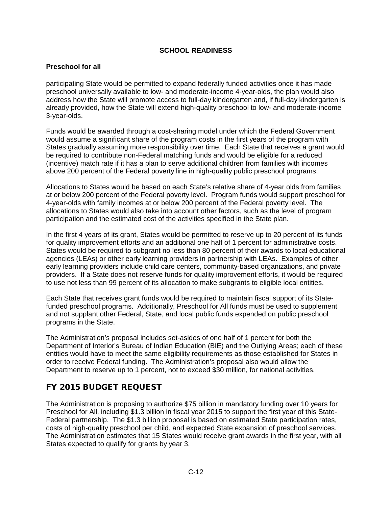### **Preschool for all**

participating State would be permitted to expand federally funded activities once it has made preschool universally available to low- and moderate-income 4-year-olds, the plan would also address how the State will promote access to full-day kindergarten and, if full-day kindergarten is already provided, how the State will extend high-quality preschool to low- and moderate-income 3-year-olds.

Funds would be awarded through a cost-sharing model under which the Federal Government would assume a significant share of the program costs in the first years of the program with States gradually assuming more responsibility over time. Each State that receives a grant would be required to contribute non-Federal matching funds and would be eligible for a reduced (incentive) match rate if it has a plan to serve additional children from families with incomes above 200 percent of the Federal poverty line in high-quality public preschool programs.

Allocations to States would be based on each State's relative share of 4-year olds from families at or below 200 percent of the Federal poverty level. Program funds would support preschool for 4-year-olds with family incomes at or below 200 percent of the Federal poverty level. The allocations to States would also take into account other factors, such as the level of program participation and the estimated cost of the activities specified in the State plan.

In the first 4 years of its grant, States would be permitted to reserve up to 20 percent of its funds for quality improvement efforts and an additional one half of 1 percent for administrative costs. States would be required to subgrant no less than 80 percent of their awards to local educational agencies (LEAs) or other early learning providers in partnership with LEAs. Examples of other early learning providers include child care centers, community-based organizations, and private providers. If a State does not reserve funds for quality improvement efforts, it would be required to use not less than 99 percent of its allocation to make subgrants to eligible local entities.

Each State that receives grant funds would be required to maintain fiscal support of its Statefunded preschool programs. Additionally, Preschool for All funds must be used to supplement and not supplant other Federal, State, and local public funds expended on public preschool programs in the State.

The Administration's proposal includes set-asides of one half of 1 percent for both the Department of Interior's Bureau of Indian Education (BIE) and the Outlying Areas; each of these entities would have to meet the same eligibility requirements as those established for States in order to receive Federal funding. The Administration's proposal also would allow the Department to reserve up to 1 percent, not to exceed \$30 million, for national activities.

# FY 2015 BUDGET REQUEST

The Administration is proposing to authorize \$75 billion in mandatory funding over 10 years for Preschool for All, including \$1.3 billion in fiscal year 2015 to support the first year of this State-Federal partnership. The \$1.3 billion proposal is based on estimated State participation rates, costs of high-quality preschool per child, and expected State expansion of preschool services. The Administration estimates that 15 States would receive grant awards in the first year, with all States expected to qualify for grants by year 3.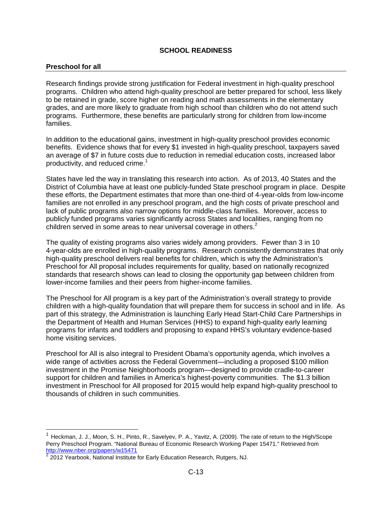#### **Preschool for all**

Research findings provide strong justification for Federal investment in high-quality preschool programs. Children who attend high-quality preschool are better prepared for school, less likely to be retained in grade, score higher on reading and math assessments in the elementary grades, and are more likely to graduate from high school than children who do not attend such programs. Furthermore, these benefits are particularly strong for children from low-income families.

In addition to the educational gains, investment in high-quality preschool provides economic benefits. Evidence shows that for every \$1 invested in high-quality preschool, taxpayers saved an average of \$7 in future costs due to reduction in remedial education costs, increased labor productivity, and reduced crime.<sup>1</sup>

States have led the way in translating this research into action. As of 2013, 40 States and the District of Columbia have at least one publicly-funded State preschool program in place. Despite these efforts, the Department estimates that more than one-third of 4-year-olds from low-income families are not enrolled in any preschool program, and the high costs of private preschool and lack of public programs also narrow options for middle-class families. Moreover, access to publicly funded programs varies significantly across States and localities, ranging from no children served in some areas to near universal coverage in others.<sup>2</sup>

The quality of existing programs also varies widely among providers. Fewer than 3 in 10 4-year-olds are enrolled in high-quality programs. Research consistently demonstrates that only high-quality preschool delivers real benefits for children, which is why the Administration's Preschool for All proposal includes requirements for quality, based on nationally recognized standards that research shows can lead to closing the opportunity gap between children from lower-income families and their peers from higher-income families.

The Preschool for All program is a key part of the Administration's overall strategy to provide children with a high-quality foundation that will prepare them for success in school and in life. As part of this strategy, the Administration is launching Early Head Start-Child Care Partnerships in the Department of Health and Human Services (HHS) to expand high-quality early learning programs for infants and toddlers and proposing to expand HHS's voluntary evidence-based home visiting services.

Preschool for All is also integral to President Obama's opportunity agenda, which involves a wide range of activities across the Federal Government—including a proposed \$100 million investment in the Promise Neighborhoods program—designed to provide cradle-to-career support for children and families in America's highest-poverty communities. The \$1.3 billion investment in Preschool for All proposed for 2015 would help expand high-quality preschool to thousands of children in such communities.

 $1$  Heckman, J. J., Moon, S. H., Pinto, R., Savelyev, P. A., Yavitz, A. (2009). The rate of return to the High/Scope Perry Preschool Program. "National Bureau of Economic Research Working Paper 15471." Retrieved from <http://www.nber.org/papers/w15471>

<sup>2</sup> 2012 Yearbook, National Institute for Early Education Research, Rutgers, NJ.